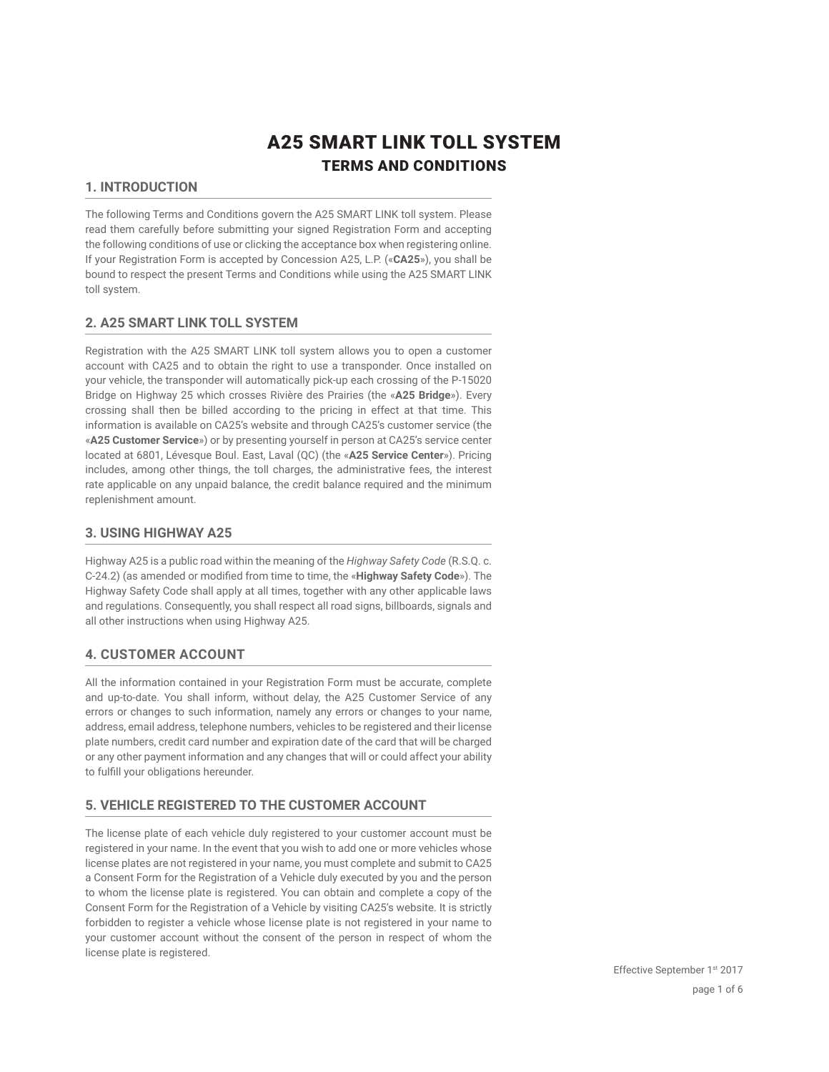# A25 SMART LINK TOLL SYSTEM TERMS AND CONDITIONS

# **1. INTRODUCTION**

The following Terms and Conditions govern the A25 SMART LINK toll system. Please read them carefully before submitting your signed Registration Form and accepting the following conditions of use or clicking the acceptance box when registering online. If your Registration Form is accepted by Concession A25, L.P. («**CA25**»), you shall be bound to respect the present Terms and Conditions while using the A25 SMART LINK toll system.

# **2. A25 SMART LINK TOLL SYSTEM**

Registration with the A25 SMART LINK toll system allows you to open a customer account with CA25 and to obtain the right to use a transponder. Once installed on your vehicle, the transponder will automatically pick-up each crossing of the P-15020 Bridge on Highway 25 which crosses Rivière des Prairies (the «**A25 Bridge**»). Every crossing shall then be billed according to the pricing in effect at that time. This information is available on CA25's website and through CA25's customer service (the «**A25 Customer Service**») or by presenting yourself in person at CA25's service center located at 6801, Lévesque Boul. East, Laval (QC) (the «**A25 Service Center**»). Pricing includes, among other things, the toll charges, the administrative fees, the interest rate applicable on any unpaid balance, the credit balance required and the minimum replenishment amount.

## **3. USING HIGHWAY A25**

Highway A25 is a public road within the meaning of the *Highway Safety Code* (R.S.Q. c. C-24.2) (as amended or modified from time to time, the «**Highway Safety Code**»). The Highway Safety Code shall apply at all times, together with any other applicable laws and regulations. Consequently, you shall respect all road signs, billboards, signals and all other instructions when using Highway A25.

# **4. CUSTOMER ACCOUNT**

All the information contained in your Registration Form must be accurate, complete and up-to-date. You shall inform, without delay, the A25 Customer Service of any errors or changes to such information, namely any errors or changes to your name, address, email address, telephone numbers, vehicles to be registered and their license plate numbers, credit card number and expiration date of the card that will be charged or any other payment information and any changes that will or could affect your ability to fulfill your obligations hereunder.

# **5. VEHICLE REGISTERED TO THE CUSTOMER ACCOUNT**

The license plate of each vehicle duly registered to your customer account must be registered in your name. In the event that you wish to add one or more vehicles whose license plates are not registered in your name, you must complete and submit to CA25 a Consent Form for the Registration of a Vehicle duly executed by you and the person to whom the license plate is registered. You can obtain and complete a copy of the Consent Form for the Registration of a Vehicle by visiting CA25's website. It is strictly forbidden to register a vehicle whose license plate is not registered in your name to your customer account without the consent of the person in respect of whom the license plate is registered.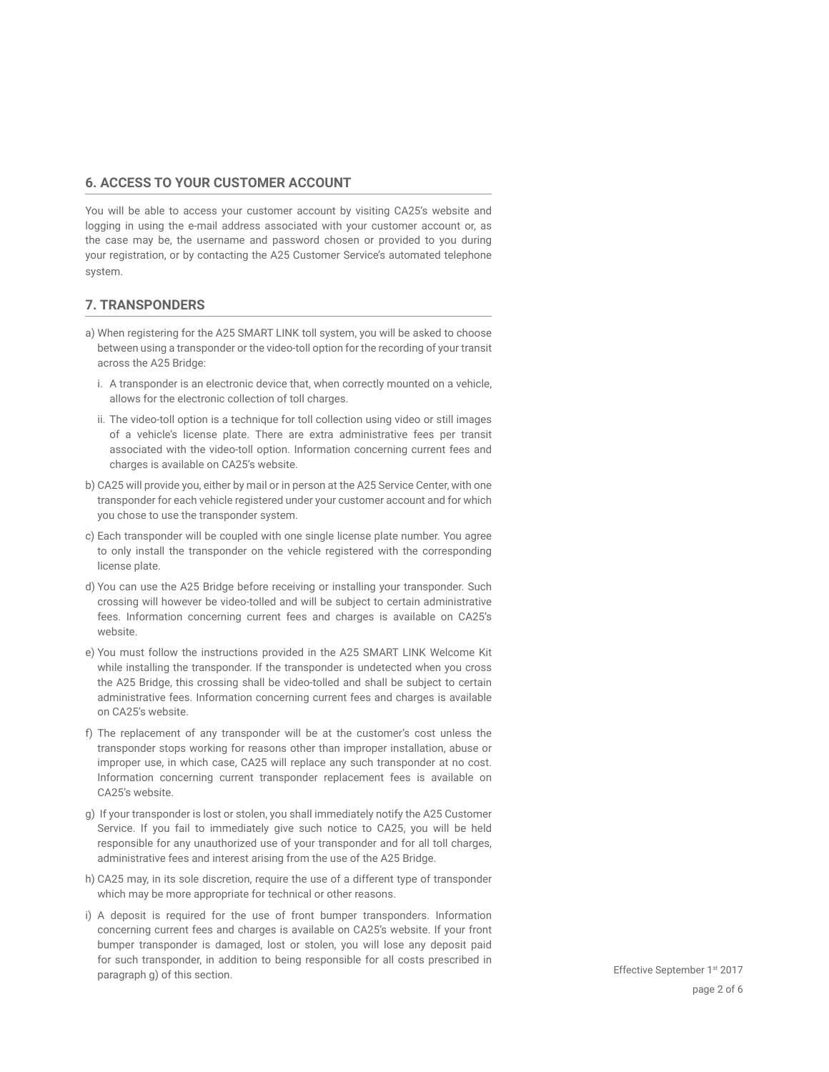#### **6. ACCESS TO YOUR CUSTOMER ACCOUNT**

You will be able to access your customer account by visiting CA25's website and logging in using the e-mail address associated with your customer account or, as the case may be, the username and password chosen or provided to you during your registration, or by contacting the A25 Customer Service's automated telephone system.

# **7. TRANSPONDERS**

- a) When registering for the A25 SMART LINK toll system, you will be asked to choose between using a transponder or the video-toll option for the recording of your transit across the A25 Bridge:
	- i. A transponder is an electronic device that, when correctly mounted on a vehicle, allows for the electronic collection of toll charges.
	- ii. The video-toll option is a technique for toll collection using video or still images of a vehicle's license plate. There are extra administrative fees per transit associated with the video-toll option. Information concerning current fees and charges is available on CA25's website.
- b) CA25 will provide you, either by mail or in person at the A25 Service Center, with one transponder for each vehicle registered under your customer account and for which you chose to use the transponder system.
- c) Each transponder will be coupled with one single license plate number. You agree to only install the transponder on the vehicle registered with the corresponding license plate.
- d) You can use the A25 Bridge before receiving or installing your transponder. Such crossing will however be video-tolled and will be subject to certain administrative fees. Information concerning current fees and charges is available on CA25's website.
- e) You must follow the instructions provided in the A25 SMART LINK Welcome Kit while installing the transponder. If the transponder is undetected when you cross the A25 Bridge, this crossing shall be video-tolled and shall be subject to certain administrative fees. Information concerning current fees and charges is available on CA25's website.
- f) The replacement of any transponder will be at the customer's cost unless the transponder stops working for reasons other than improper installation, abuse or improper use, in which case, CA25 will replace any such transponder at no cost. Information concerning current transponder replacement fees is available on CA25's website.
- g) If your transponder is lost or stolen, you shall immediately notify the A25 Customer Service. If you fail to immediately give such notice to CA25, you will be held responsible for any unauthorized use of your transponder and for all toll charges, administrative fees and interest arising from the use of the A25 Bridge.
- h) CA25 may, in its sole discretion, require the use of a different type of transponder which may be more appropriate for technical or other reasons.
- i) A deposit is required for the use of front bumper transponders. Information concerning current fees and charges is available on CA25's website. If your front bumper transponder is damaged, lost or stolen, you will lose any deposit paid for such transponder, in addition to being responsible for all costs prescribed in paragraph g) of this section.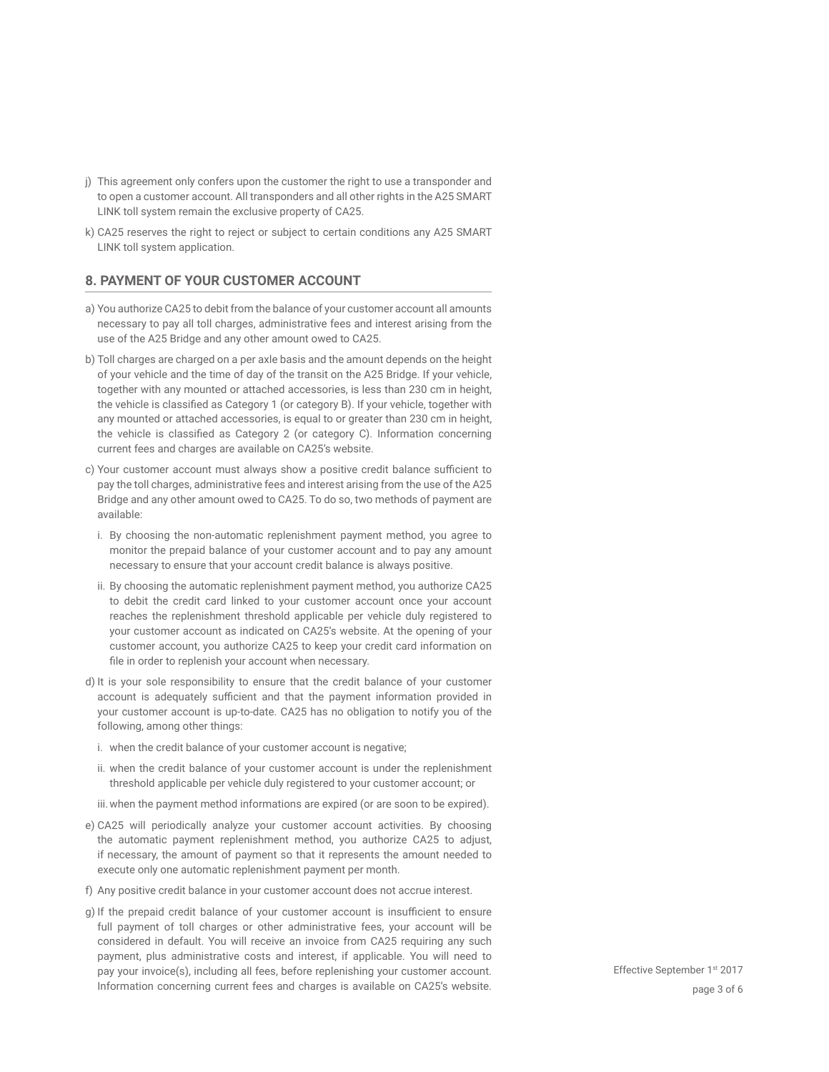- j) This agreement only confers upon the customer the right to use a transponder and to open a customer account. All transponders and all other rights in the A25 SMART LINK toll system remain the exclusive property of CA25.
- k) CA25 reserves the right to reject or subject to certain conditions any A25 SMART LINK toll system application.

#### **8. PAYMENT OF YOUR CUSTOMER ACCOUNT**

- a) You authorize CA25 to debit from the balance of your customer account all amounts necessary to pay all toll charges, administrative fees and interest arising from the use of the A25 Bridge and any other amount owed to CA25.
- b) Toll charges are charged on a per axle basis and the amount depends on the height of your vehicle and the time of day of the transit on the A25 Bridge. If your vehicle, together with any mounted or attached accessories, is less than 230 cm in height, the vehicle is classified as Category 1 (or category B). If your vehicle, together with any mounted or attached accessories, is equal to or greater than 230 cm in height, the vehicle is classified as Category 2 (or category C). Information concerning current fees and charges are available on CA25's website.
- c) Your customer account must always show a positive credit balance sufficient to pay the toll charges, administrative fees and interest arising from the use of the A25 Bridge and any other amount owed to CA25. To do so, two methods of payment are available:
	- i. By choosing the non-automatic replenishment payment method, you agree to monitor the prepaid balance of your customer account and to pay any amount necessary to ensure that your account credit balance is always positive.
	- ii. By choosing the automatic replenishment payment method, you authorize CA25 to debit the credit card linked to your customer account once your account reaches the replenishment threshold applicable per vehicle duly registered to your customer account as indicated on CA25's website. At the opening of your customer account, you authorize CA25 to keep your credit card information on file in order to replenish your account when necessary.
- d) It is your sole responsibility to ensure that the credit balance of your customer account is adequately sufficient and that the payment information provided in your customer account is up-to-date. CA25 has no obligation to notify you of the following, among other things:
	- i. when the credit balance of your customer account is negative;
	- ii. when the credit balance of your customer account is under the replenishment threshold applicable per vehicle duly registered to your customer account; or
	- iii.when the payment method informations are expired (or are soon to be expired).
- e) CA25 will periodically analyze your customer account activities. By choosing the automatic payment replenishment method, you authorize CA25 to adjust, if necessary, the amount of payment so that it represents the amount needed to execute only one automatic replenishment payment per month.
- f) Any positive credit balance in your customer account does not accrue interest.
- g) If the prepaid credit balance of your customer account is insufficient to ensure full payment of toll charges or other administrative fees, your account will be considered in default. You will receive an invoice from CA25 requiring any such payment, plus administrative costs and interest, if applicable. You will need to pay your invoice(s), including all fees, before replenishing your customer account. Information concerning current fees and charges is available on CA25's website. The page 3 of 6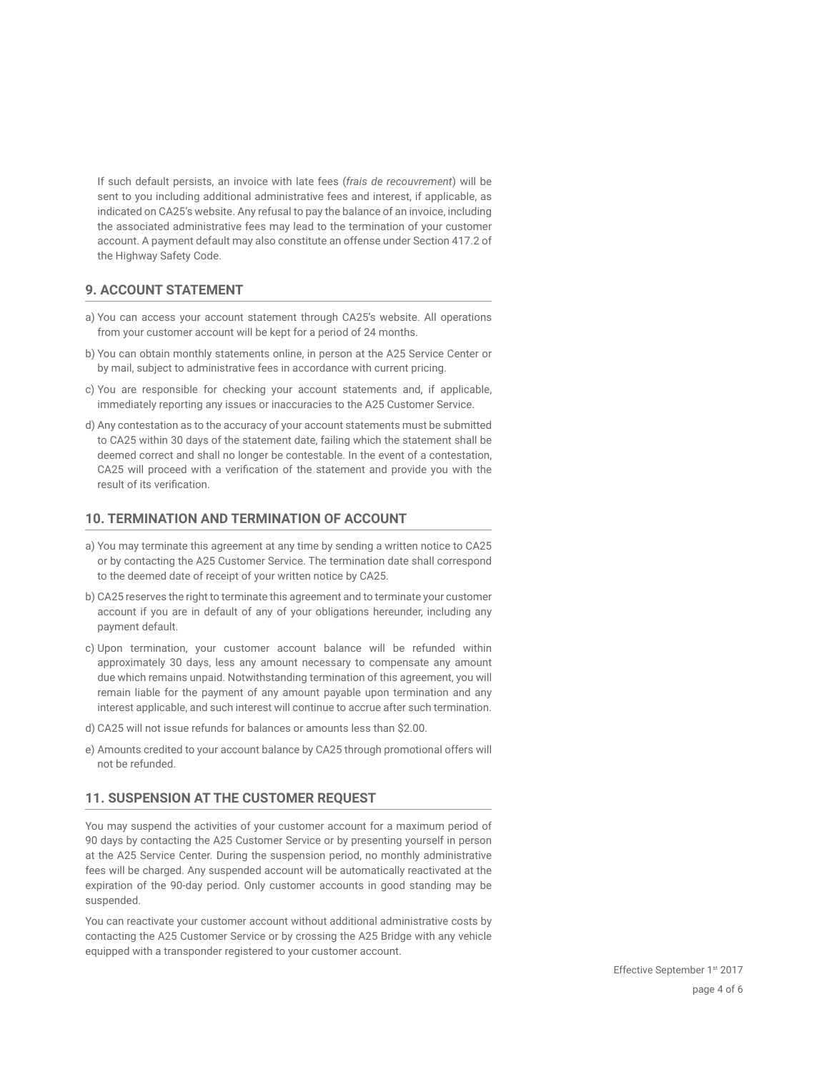If such default persists, an invoice with late fees (*frais de recouvrement*) will be sent to you including additional administrative fees and interest, if applicable, as indicated on CA25's website. Any refusal to pay the balance of an invoice, including the associated administrative fees may lead to the termination of your customer account. A payment default may also constitute an offense under Section 417.2 of the Highway Safety Code.

## **9. ACCOUNT STATEMENT**

- a) You can access your account statement through CA25's website. All operations from your customer account will be kept for a period of 24 months.
- b) You can obtain monthly statements online, in person at the A25 Service Center or by mail, subject to administrative fees in accordance with current pricing.
- c) You are responsible for checking your account statements and, if applicable, immediately reporting any issues or inaccuracies to the A25 Customer Service.
- d) Any contestation as to the accuracy of your account statements must be submitted to CA25 within 30 days of the statement date, failing which the statement shall be deemed correct and shall no longer be contestable. In the event of a contestation, CA25 will proceed with a verification of the statement and provide you with the result of its verification.

#### **10. TERMINATION AND TERMINATION OF ACCOUNT**

- a) You may terminate this agreement at any time by sending a written notice to CA25 or by contacting the A25 Customer Service. The termination date shall correspond to the deemed date of receipt of your written notice by CA25.
- b) CA25 reserves the right to terminate this agreement and to terminate your customer account if you are in default of any of your obligations hereunder, including any payment default.
- c) Upon termination, your customer account balance will be refunded within approximately 30 days, less any amount necessary to compensate any amount due which remains unpaid. Notwithstanding termination of this agreement, you will remain liable for the payment of any amount payable upon termination and any interest applicable, and such interest will continue to accrue after such termination.
- d) CA25 will not issue refunds for balances or amounts less than \$2.00.
- e) Amounts credited to your account balance by CA25 through promotional offers will not be refunded.

# **11. SUSPENSION AT THE CUSTOMER REQUEST**

You may suspend the activities of your customer account for a maximum period of 90 days by contacting the A25 Customer Service or by presenting yourself in person at the A25 Service Center. During the suspension period, no monthly administrative fees will be charged. Any suspended account will be automatically reactivated at the expiration of the 90-day period. Only customer accounts in good standing may be suspended.

You can reactivate your customer account without additional administrative costs by contacting the A25 Customer Service or by crossing the A25 Bridge with any vehicle equipped with a transponder registered to your customer account.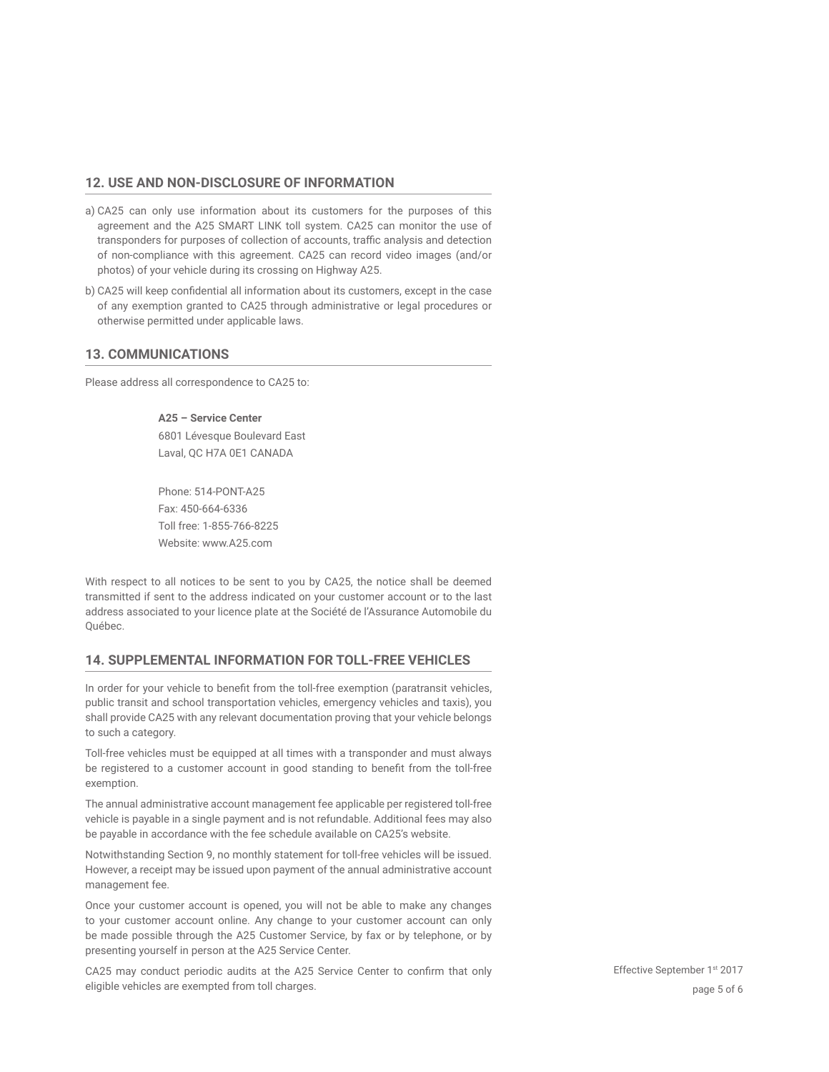#### **12. USE AND NON-DISCLOSURE OF INFORMATION**

- a) CA25 can only use information about its customers for the purposes of this agreement and the A25 SMART LINK toll system. CA25 can monitor the use of transponders for purposes of collection of accounts, traffic analysis and detection of non-compliance with this agreement. CA25 can record video images (and/or photos) of your vehicle during its crossing on Highway A25.
- b) CA25 will keep confidential all information about its customers, except in the case of any exemption granted to CA25 through administrative or legal procedures or otherwise permitted under applicable laws.

#### **13. COMMUNICATIONS**

Please address all correspondence to CA25 to:

**A25 – Service Center**  6801 Lévesque Boulevard East Laval, QC H7A 0E1 CANADA

Phone: 514-PONT-A25 Fax: 450-664-6336 Toll free: 1-855-766-8225 Website: www.A25.com

With respect to all notices to be sent to you by CA25, the notice shall be deemed transmitted if sent to the address indicated on your customer account or to the last address associated to your licence plate at the Société de l'Assurance Automobile du Québec.

#### **14. SUPPLEMENTAL INFORMATION FOR TOLL-FREE VEHICLES**

In order for your vehicle to benefit from the toll-free exemption (paratransit vehicles, public transit and school transportation vehicles, emergency vehicles and taxis), you shall provide CA25 with any relevant documentation proving that your vehicle belongs to such a category.

Toll-free vehicles must be equipped at all times with a transponder and must always be registered to a customer account in good standing to benefit from the toll-free exemption.

The annual administrative account management fee applicable per registered toll-free vehicle is payable in a single payment and is not refundable. Additional fees may also be payable in accordance with the fee schedule available on CA25's website.

Notwithstanding Section 9, no monthly statement for toll-free vehicles will be issued. However, a receipt may be issued upon payment of the annual administrative account management fee.

Once your customer account is opened, you will not be able to make any changes to your customer account online. Any change to your customer account can only be made possible through the A25 Customer Service, by fax or by telephone, or by presenting yourself in person at the A25 Service Center.

CA25 may conduct periodic audits at the A25 Service Center to confirm that only eligible vehicles are exempted from toll charges.